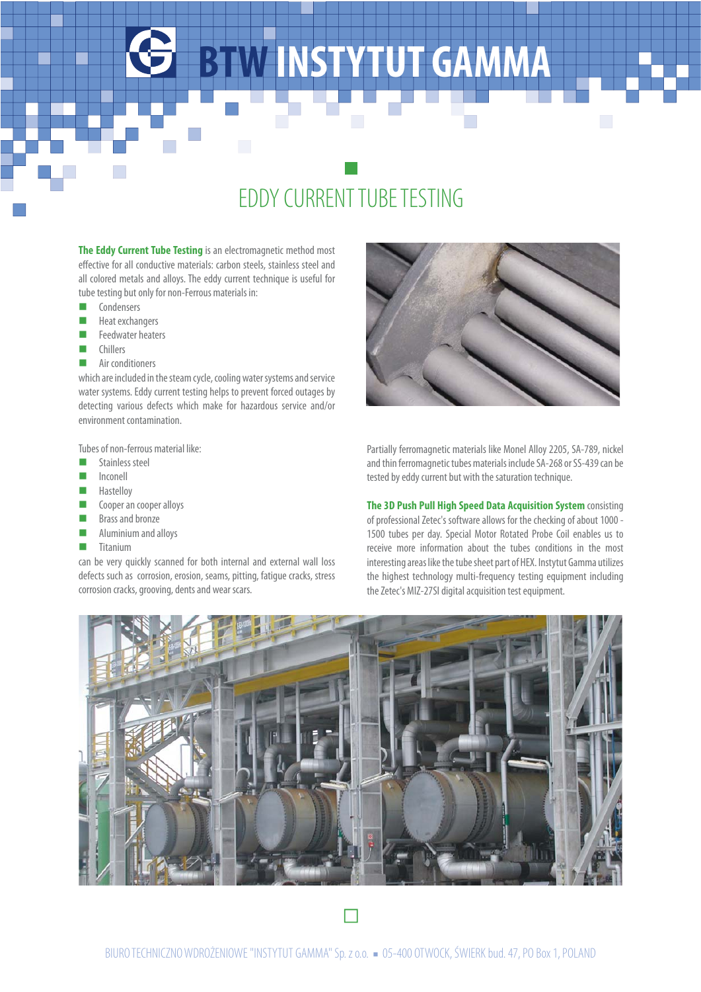## **BTW INSTYTUT GAMMA**

## EDDY CURRENT TUBE TESTING

**The Eddy Current Tube Testing** is an electromagnetic method most effective for all conductive materials: carbon steels, stainless steel and all colored metals and alloys. The eddy current technique is useful for tube testing but only for non-Ferrous materials in:

- **n** Condensers
- Heat exchangers
- $\blacksquare$  Feedwater heaters
- n Chillers
- $\blacksquare$  Air conditioners

which are included in the steam cycle, cooling water systems and service water systems. Eddy current testing helps to prevent forced outages by detecting various defects which make for hazardous service and/or environment contamination.

Tubes of non-ferrous material like:

- stainless steel
- **Inconell**
- Hastelloy
- Cooper an cooper alloys
- Brass and bronze
- n Aluminium and alloys
- **n** Titanium

can be very quickly scanned for both internal and external wall loss defects such as corrosion, erosion, seams, pitting, fatigue cracks, stress corrosion cracks, grooving, dents and wear scars.



Partially ferromagnetic materials like Monel Alloy 2205, SA-789, nickel and thin ferromagnetic tubes materials include SA-268 or SS-439 can be tested by eddy current but with the saturation technique.

**The 3D Push Pull High Speed Data Acquisition System** consisting of professional Zetec's software allows for the checking of about 1000 - 1500 tubes per day. Special Motor Rotated Probe Coil enables us to receive more information about the tubes conditions in the most interesting areas like the tube sheet part of HEX. Instytut Gamma utilizes the highest technology multi-frequency testing equipment including the Zetec's MIZ-27SI digital acquisition test equipment.